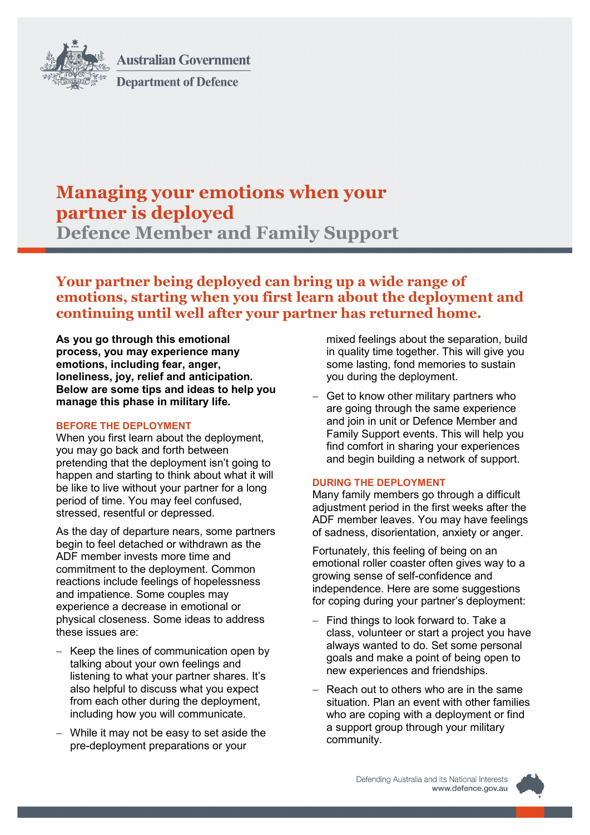

**Australian Government Department of Defence** 

# **Managing your emotions when your partner is deployed**

**Defence Member and Family Support**

# **Your partner being deployed can bring up a wide range of emotions, starting when you first learn about the deployment and continuing until well after your partner has returned home.**

**As you go through this emotional process, you may experience many emotions, including fear, anger, loneliness, joy, relief and anticipation. Below are some tips and ideas to help you manage this phase in military life.**

## **BEFORE THE DEPLOYMENT**

When you first learn about the deployment, you may go back and forth between pretending that the deployment isn't going to happen and starting to think about what it will be like to live without your partner for a long period of time. You may feel confused, stressed, resentful or depressed.

As the day of departure nears, some partners begin to feel detached or withdrawn as the ADF member invests more time and commitment to the deployment. Common reactions include feelings of hopelessness and impatience. Some couples may experience a decrease in emotional or physical closeness. Some ideas to address these issues are:

- − Keep the lines of communication open by talking about your own feelings and listening to what your partner shares. It's also helpful to discuss what you expect from each other during the deployment, including how you will communicate.
- While it may not be easy to set aside the pre-deployment preparations or your

mixed feelings about the separation, build in quality time together. This will give you some lasting, fond memories to sustain you during the deployment.

− Get to know other military partners who are going through the same experience and join in unit or Defence Member and Family Support events. This will help you find comfort in sharing your experiences and begin building a network of support.

## **DURING THE DEPLOYMENT**

Many family members go through a difficult adjustment period in the first weeks after the ADF member leaves. You may have feelings of sadness, disorientation, anxiety or anger.

Fortunately, this feeling of being on an emotional roller coaster often gives way to a growing sense of self-confidence and independence. Here are some suggestions for coping during your partner's deployment:

- − Find things to look forward to. Take a class, volunteer or start a project you have always wanted to do. Set some personal goals and make a point of being open to new experiences and friendships.
- − Reach out to others who are in the same situation. Plan an event with other families who are coping with a deployment or find a support group through your military community.